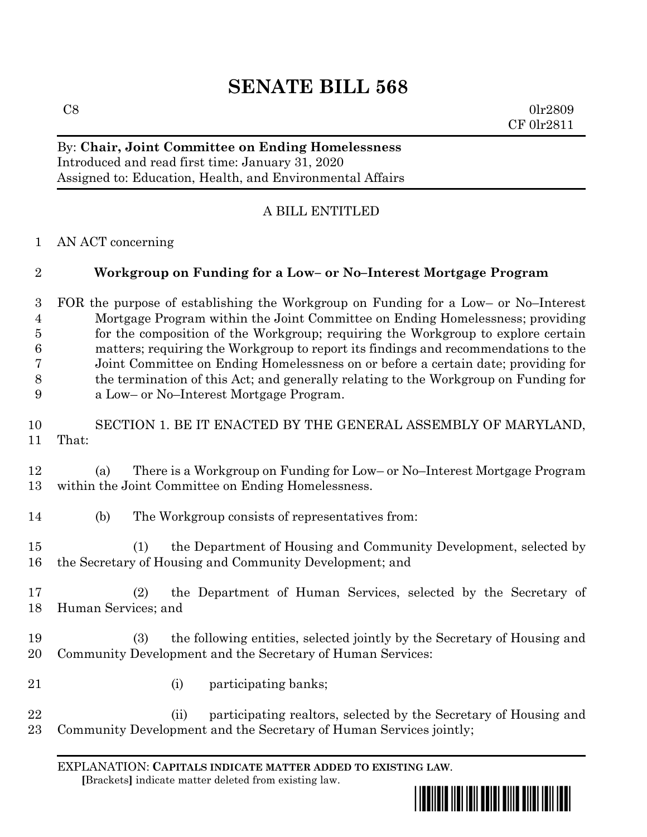## **SENATE BILL 568**

 $\cos$  0lr2809 CF 0lr2811

## By: **Chair, Joint Committee on Ending Homelessness** Introduced and read first time: January 31, 2020 Assigned to: Education, Health, and Environmental Affairs

## A BILL ENTITLED

AN ACT concerning

## **Workgroup on Funding for a Low– or No–Interest Mortgage Program**

 FOR the purpose of establishing the Workgroup on Funding for a Low– or No–Interest Mortgage Program within the Joint Committee on Ending Homelessness; providing for the composition of the Workgroup; requiring the Workgroup to explore certain matters; requiring the Workgroup to report its findings and recommendations to the Joint Committee on Ending Homelessness on or before a certain date; providing for the termination of this Act; and generally relating to the Workgroup on Funding for a Low– or No–Interest Mortgage Program.

 SECTION 1. BE IT ENACTED BY THE GENERAL ASSEMBLY OF MARYLAND, That:

 (a) There is a Workgroup on Funding for Low– or No–Interest Mortgage Program within the Joint Committee on Ending Homelessness.

(b) The Workgroup consists of representatives from:

 (1) the Department of Housing and Community Development, selected by the Secretary of Housing and Community Development; and

 (2) the Department of Human Services, selected by the Secretary of Human Services; and

 (3) the following entities, selected jointly by the Secretary of Housing and Community Development and the Secretary of Human Services:

- 
- (i) participating banks;

 (ii) participating realtors, selected by the Secretary of Housing and Community Development and the Secretary of Human Services jointly;

EXPLANATION: **CAPITALS INDICATE MATTER ADDED TO EXISTING LAW**.  **[**Brackets**]** indicate matter deleted from existing law.